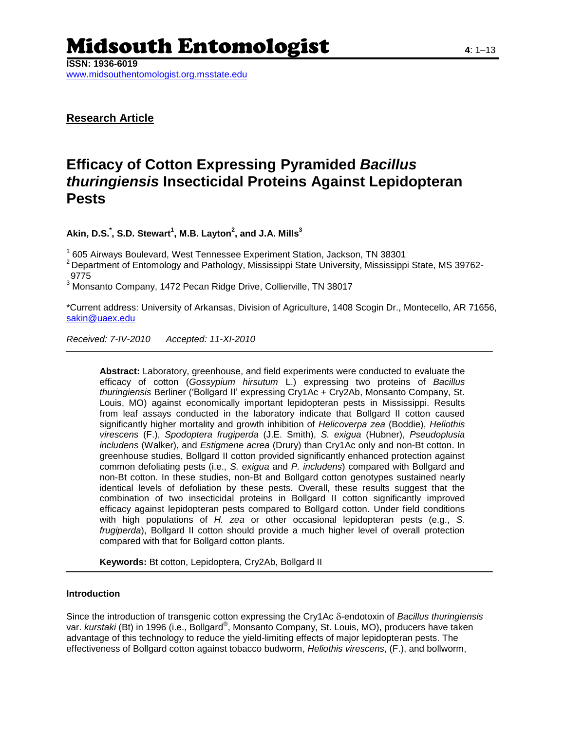# Midsouth Entomologist **<sup>4</sup>**: 1–13

**ISSN: 1936-6019**

www.midsouthentomologist.org.msstate.edu

**Research Article**

# **Efficacy of Cotton Expressing Pyramided** *Bacillus thuringiensis* **Insecticidal Proteins Against Lepidopteran Pests**

**Akin, D.S.\* , S.D. Stewart<sup>1</sup> , M.B. Layton<sup>2</sup> , and J.A. Mills<sup>3</sup>**

<sup>1</sup> 605 Airways Boulevard, West Tennessee Experiment Station, Jackson, TN 38301

<sup>2</sup> Department of Entomology and Pathology, Mississippi State University, Mississippi State, MS 39762-9775

<sup>3</sup> Monsanto Company, 1472 Pecan Ridge Drive, Collierville, TN 38017

\*Current address: University of Arkansas, Division of Agriculture, 1408 Scogin Dr., Montecello, AR 71656, [sakin@uaex.edu](mailto:sakin@uaex.edu)

*Received: 7-IV-2010 Accepted: 11-XI-2010*

**Abstract:** Laboratory, greenhouse, and field experiments were conducted to evaluate the efficacy of cotton (*Gossypium hirsutum* L.) expressing two proteins of *Bacillus thuringiensis* Berliner (‗Bollgard II' expressing Cry1Ac + Cry2Ab, Monsanto Company, St. Louis, MO) against economically important lepidopteran pests in Mississippi. Results from leaf assays conducted in the laboratory indicate that Bollgard II cotton caused significantly higher mortality and growth inhibition of *Helicoverpa zea* (Boddie), *Heliothis virescens* (F.), *Spodoptera frugiperda* (J.E. Smith), *S. exigua* (Hubner), *Pseudoplusia includens* (Walker), and *Estigmene acrea* (Drury) than Cry1Ac only and non-Bt cotton. In greenhouse studies, Bollgard II cotton provided significantly enhanced protection against common defoliating pests (i.e., *S. exigua* and *P. includens*) compared with Bollgard and non-Bt cotton. In these studies, non-Bt and Bollgard cotton genotypes sustained nearly identical levels of defoliation by these pests. Overall, these results suggest that the combination of two insecticidal proteins in Bollgard II cotton significantly improved efficacy against lepidopteran pests compared to Bollgard cotton. Under field conditions with high populations of *H. zea* or other occasional lepidopteran pests (e.g., *S. frugiperda*), Bollgard II cotton should provide a much higher level of overall protection compared with that for Bollgard cotton plants.

**Keywords:** Bt cotton, Lepidoptera, Cry2Ab, Bollgard II

### **Introduction**

Since the introduction of transgenic cotton expressing the Cry1Ac  $\delta$ -endotoxin of *Bacillus thuringiensis* var. *kurstaki* (Bt) in 1996 (i.e., Bollgard® , Monsanto Company, St. Louis, MO), producers have taken advantage of this technology to reduce the yield-limiting effects of major lepidopteran pests. The effectiveness of Bollgard cotton against tobacco budworm, *Heliothis virescens*, (F.), and bollworm,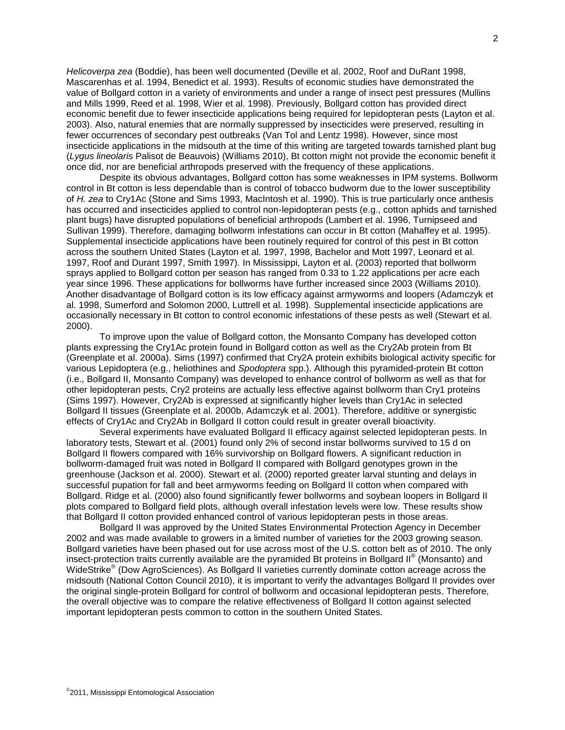*Helicoverpa zea* (Boddie), has been well documented (Deville et al. 2002, Roof and DuRant 1998, Mascarenhas et al. 1994, Benedict et al. 1993). Results of economic studies have demonstrated the value of Bollgard cotton in a variety of environments and under a range of insect pest pressures (Mullins and Mills 1999, Reed et al. 1998, Wier et al. 1998). Previously, Bollgard cotton has provided direct economic benefit due to fewer insecticide applications being required for lepidopteran pests (Layton et al. 2003). Also, natural enemies that are normally suppressed by insecticides were preserved, resulting in fewer occurrences of secondary pest outbreaks (Van Tol and Lentz 1998). However, since most insecticide applications in the midsouth at the time of this writing are targeted towards tarnished plant bug (*Lygus lineolaris* Palisot de Beauvois) (Williams 2010), Bt cotton might not provide the economic benefit it once did, nor are beneficial arthropods preserved with the frequency of these applications.

Despite its obvious advantages, Bollgard cotton has some weaknesses in IPM systems. Bollworm control in Bt cotton is less dependable than is control of tobacco budworm due to the lower susceptibility of *H. zea* to Cry1Ac (Stone and Sims 1993, MacIntosh et al. 1990). This is true particularly once anthesis has occurred and insecticides applied to control non-lepidopteran pests (e.g., cotton aphids and tarnished plant bugs) have disrupted populations of beneficial arthropods (Lambert et al. 1996, Turnipseed and Sullivan 1999). Therefore, damaging bollworm infestations can occur in Bt cotton (Mahaffey et al. 1995). Supplemental insecticide applications have been routinely required for control of this pest in Bt cotton across the southern United States (Layton et al. 1997, 1998, Bachelor and Mott 1997, Leonard et al. 1997, Roof and Durant 1997, Smith 1997). In Mississippi, Layton et al. (2003) reported that bollworm sprays applied to Bollgard cotton per season has ranged from 0.33 to 1.22 applications per acre each year since 1996. These applications for bollworms have further increased since 2003 (Williams 2010). Another disadvantage of Bollgard cotton is its low efficacy against armyworms and loopers (Adamczyk et al. 1998, Sumerford and Solomon 2000, Luttrell et al. 1998). Supplemental insecticide applications are occasionally necessary in Bt cotton to control economic infestations of these pests as well (Stewart et al. 2000).

To improve upon the value of Bollgard cotton, the Monsanto Company has developed cotton plants expressing the Cry1Ac protein found in Bollgard cotton as well as the Cry2Ab protein from Bt (Greenplate et al. 2000a). Sims (1997) confirmed that Cry2A protein exhibits biological activity specific for various Lepidoptera (e.g., heliothines and *Spodoptera* spp.). Although this pyramided-protein Bt cotton (i.e., Bollgard II, Monsanto Company) was developed to enhance control of bollworm as well as that for other lepidopteran pests, Cry2 proteins are actually less effective against bollworm than Cry1 proteins (Sims 1997). However, Cry2Ab is expressed at significantly higher levels than Cry1Ac in selected Bollgard II tissues (Greenplate et al. 2000b, Adamczyk et al. 2001). Therefore, additive or synergistic effects of Cry1Ac and Cry2Ab in Bollgard II cotton could result in greater overall bioactivity.

Several experiments have evaluated Bollgard II efficacy against selected lepidopteran pests. In laboratory tests, Stewart et al. (2001) found only 2% of second instar bollworms survived to 15 d on Bollgard II flowers compared with 16% survivorship on Bollgard flowers. A significant reduction in bollworm-damaged fruit was noted in Bollgard II compared with Bollgard genotypes grown in the greenhouse (Jackson et al. 2000). Stewart et al. (2000) reported greater larval stunting and delays in successful pupation for fall and beet armyworms feeding on Bollgard II cotton when compared with Bollgard. Ridge et al. (2000) also found significantly fewer bollworms and soybean loopers in Bollgard II plots compared to Bollgard field plots, although overall infestation levels were low. These results show that Bollgard II cotton provided enhanced control of various lepidopteran pests in those areas.

Bollgard II was approved by the United States Environmental Protection Agency in December 2002 and was made available to growers in a limited number of varieties for the 2003 growing season. Bollgard varieties have been phased out for use across most of the U.S. cotton belt as of 2010. The only insect-protection traits currently available are the pyramided Bt proteins in Bollgard II® (Monsanto) and WideStrike<sup>®</sup> (Dow AgroSciences). As Bollgard II varieties currently dominate cotton acreage across the midsouth (National Cotton Council 2010), it is important to verify the advantages Bollgard II provides over the original single-protein Bollgard for control of bollworm and occasional lepidopteran pests. Therefore, the overall objective was to compare the relative effectiveness of Bollgard II cotton against selected important lepidopteran pests common to cotton in the southern United States.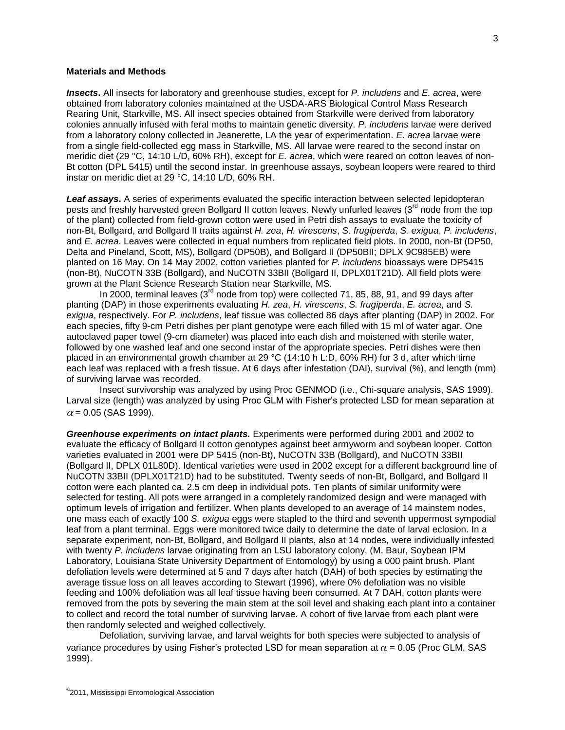#### **Materials and Methods**

*Insects***.** All insects for laboratory and greenhouse studies, except for *P. includens* and *E. acrea*, were obtained from laboratory colonies maintained at the USDA-ARS Biological Control Mass Research Rearing Unit, Starkville, MS. All insect species obtained from Starkville were derived from laboratory colonies annually infused with feral moths to maintain genetic diversity. *P. includens* larvae were derived from a laboratory colony collected in Jeanerette, LA the year of experimentation. *E. acrea* larvae were from a single field-collected egg mass in Starkville, MS. All larvae were reared to the second instar on meridic diet (29 °C, 14:10 L/D, 60% RH), except for *E. acrea*, which were reared on cotton leaves of non-Bt cotton (DPL 5415) until the second instar. In greenhouse assays, soybean loopers were reared to third instar on meridic diet at 29 °C, 14:10 L/D, 60% RH.

*Leaf assays***.** A series of experiments evaluated the specific interaction between selected lepidopteran pests and freshly harvested green Bollgard II cotton leaves. Newly unfurled leaves (3<sup>rd</sup> node from the top of the plant) collected from field-grown cotton were used in Petri dish assays to evaluate the toxicity of non-Bt, Bollgard, and Bollgard II traits against *H. zea*, *H. virescens*, *S. frugiperda*, *S. exigua*, *P. includens*, and *E. acrea*. Leaves were collected in equal numbers from replicated field plots. In 2000, non-Bt (DP50, Delta and Pineland, Scott, MS), Bollgard (DP50B), and Bollgard II (DP50BII; DPLX 9C985EB) were planted on 16 May. On 14 May 2002, cotton varieties planted for *P. includens* bioassays were DP5415 (non-Bt), NuCOTN 33B (Bollgard), and NuCOTN 33BII (Bollgard II, DPLX01T21D). All field plots were grown at the Plant Science Research Station near Starkville, MS.

In 2000, terminal leaves  $(3<sup>rd</sup>$  node from top) were collected 71, 85, 88, 91, and 99 days after planting (DAP) in those experiments evaluating *H. zea*, *H. virescens*, *S. frugiperda*, *E. acrea*, and *S. exigua*, respectively. For *P. includens*, leaf tissue was collected 86 days after planting (DAP) in 2002. For each species, fifty 9-cm Petri dishes per plant genotype were each filled with 15 ml of water agar. One autoclaved paper towel (9-cm diameter) was placed into each dish and moistened with sterile water, followed by one washed leaf and one second instar of the appropriate species. Petri dishes were then placed in an environmental growth chamber at 29 °C (14:10 h L:D, 60% RH) for 3 d, after which time each leaf was replaced with a fresh tissue. At 6 days after infestation (DAI), survival (%), and length (mm) of surviving larvae was recorded.

Insect survivorship was analyzed by using Proc GENMOD (i.e., Chi-square analysis, SAS 1999). Larval size (length) was analyzed by using Proc GLM with Fisher's protected LSD for mean separation at  $\alpha$  = 0.05 (SAS 1999).

*Greenhouse experiments on intact plants.* Experiments were performed during 2001 and 2002 to evaluate the efficacy of Bollgard II cotton genotypes against beet armyworm and soybean looper. Cotton varieties evaluated in 2001 were DP 5415 (non-Bt), NuCOTN 33B (Bollgard), and NuCOTN 33BII (Bollgard II, DPLX 01L80D). Identical varieties were used in 2002 except for a different background line of NuCOTN 33BII (DPLX01T21D) had to be substituted. Twenty seeds of non-Bt, Bollgard, and Bollgard II cotton were each planted ca. 2.5 cm deep in individual pots. Ten plants of similar uniformity were selected for testing. All pots were arranged in a completely randomized design and were managed with optimum levels of irrigation and fertilizer. When plants developed to an average of 14 mainstem nodes, one mass each of exactly 100 *S. exigua* eggs were stapled to the third and seventh uppermost sympodial leaf from a plant terminal. Eggs were monitored twice daily to determine the date of larval eclosion. In a separate experiment, non-Bt, Bollgard, and Bollgard II plants, also at 14 nodes, were individually infested with twenty *P. includens* larvae originating from an LSU laboratory colony, (M. Baur, Soybean IPM Laboratory, Louisiana State University Department of Entomology) by using a 000 paint brush. Plant defoliation levels were determined at 5 and 7 days after hatch (DAH) of both species by estimating the average tissue loss on all leaves according to Stewart (1996), where 0% defoliation was no visible feeding and 100% defoliation was all leaf tissue having been consumed. At 7 DAH, cotton plants were removed from the pots by severing the main stem at the soil level and shaking each plant into a container to collect and record the total number of surviving larvae. A cohort of five larvae from each plant were then randomly selected and weighed collectively.

Defoliation, surviving larvae, and larval weights for both species were subjected to analysis of variance procedures by using Fisher's protected LSD for mean separation at  $\alpha = 0.05$  (Proc GLM, SAS 1999).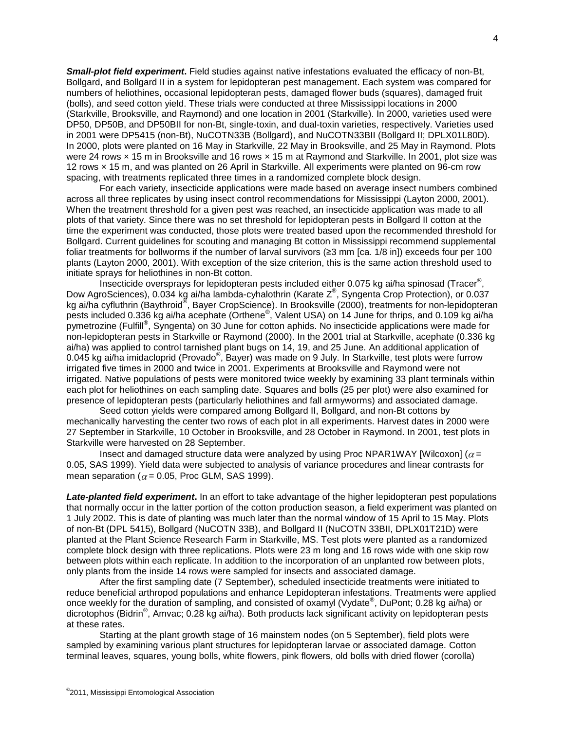*Small-plot field experiment***.** Field studies against native infestations evaluated the efficacy of non-Bt, Bollgard, and Bollgard II in a system for lepidopteran pest management. Each system was compared for numbers of heliothines, occasional lepidopteran pests, damaged flower buds (squares), damaged fruit (bolls), and seed cotton yield. These trials were conducted at three Mississippi locations in 2000 (Starkville, Brooksville, and Raymond) and one location in 2001 (Starkville). In 2000, varieties used were DP50, DP50B, and DP50BII for non-Bt, single-toxin, and dual-toxin varieties, respectively. Varieties used in 2001 were DP5415 (non-Bt), NuCOTN33B (Bollgard), and NuCOTN33BII (Bollgard II; DPLX01L80D). In 2000, plots were planted on 16 May in Starkville, 22 May in Brooksville, and 25 May in Raymond. Plots were 24 rows x 15 m in Brooksville and 16 rows x 15 m at Raymond and Starkville. In 2001, plot size was 12 rows × 15 m, and was planted on 26 April in Starkville. All experiments were planted on 96-cm row spacing, with treatments replicated three times in a randomized complete block design.

For each variety, insecticide applications were made based on average insect numbers combined across all three replicates by using insect control recommendations for Mississippi (Layton 2000, 2001). When the treatment threshold for a given pest was reached, an insecticide application was made to all plots of that variety. Since there was no set threshold for lepidopteran pests in Bollgard II cotton at the time the experiment was conducted, those plots were treated based upon the recommended threshold for Bollgard. Current guidelines for scouting and managing Bt cotton in Mississippi recommend supplemental foliar treatments for bollworms if the number of larval survivors (≥3 mm [ca. 1/8 in]) exceeds four per 100 plants (Layton 2000, 2001). With exception of the size criterion, this is the same action threshold used to initiate sprays for heliothines in non-Bt cotton.

.<br>Insecticide oversprays for lepidopteran pests included either 0.075 kg ai/ha spinosad (Tracer<sup>®</sup>, Dow AgroSciences), 0.034 kg ai/ha lambda-cyhalothrin (Karate Z®, Syngenta Crop Protection), or 0.037 kg ai/ha cyfluthrin (Baythroid<sup>®</sup>, Bayer CropScience). In Brooksville (2000), treatments for non-lepidopteran pests included 0.336 kg ai/ha acephate (Orthene® , Valent USA) on 14 June for thrips, and 0.109 kg ai/ha pymetrozine (Fulfill® , Syngenta) on 30 June for cotton aphids. No insecticide applications were made for non-lepidopteran pests in Starkville or Raymond (2000). In the 2001 trial at Starkville, acephate (0.336 kg ai/ha) was applied to control tarnished plant bugs on 14, 19, and 25 June. An additional application of 0.045 kg ai/ha imidacloprid (Provado®, Bayer) was made on 9 July. In Starkville, test plots were furrow irrigated five times in 2000 and twice in 2001. Experiments at Brooksville and Raymond were not irrigated. Native populations of pests were monitored twice weekly by examining 33 plant terminals within each plot for heliothines on each sampling date. Squares and bolls (25 per plot) were also examined for presence of lepidopteran pests (particularly heliothines and fall armyworms) and associated damage.

Seed cotton yields were compared among Bollgard II, Bollgard, and non-Bt cottons by mechanically harvesting the center two rows of each plot in all experiments. Harvest dates in 2000 were 27 September in Starkville, 10 October in Brooksville, and 28 October in Raymond. In 2001, test plots in Starkville were harvested on 28 September.

Insect and damaged structure data were analyzed by using Proc NPAR1WAY [Wilcoxon] ( $\alpha$  = 0.05, SAS 1999). Yield data were subjected to analysis of variance procedures and linear contrasts for mean separation ( $\alpha$  = 0.05, Proc GLM, SAS 1999).

*Late-planted field experiment***.** In an effort to take advantage of the higher lepidopteran pest populations that normally occur in the latter portion of the cotton production season, a field experiment was planted on 1 July 2002. This is date of planting was much later than the normal window of 15 April to 15 May. Plots of non-Bt (DPL 5415), Bollgard (NuCOTN 33B), and Bollgard II (NuCOTN 33BII, DPLX01T21D) were planted at the Plant Science Research Farm in Starkville, MS. Test plots were planted as a randomized complete block design with three replications. Plots were 23 m long and 16 rows wide with one skip row between plots within each replicate. In addition to the incorporation of an unplanted row between plots, only plants from the inside 14 rows were sampled for insects and associated damage.

After the first sampling date (7 September), scheduled insecticide treatments were initiated to reduce beneficial arthropod populations and enhance Lepidopteran infestations. Treatments were applied once weekly for the duration of sampling, and consisted of oxamyl (Vydate®, DuPont; 0.28 kg ai/ha) or dicrotophos (Bidrin® , Amvac; 0.28 kg ai/ha). Both products lack significant activity on lepidopteran pests at these rates.

Starting at the plant growth stage of 16 mainstem nodes (on 5 September), field plots were sampled by examining various plant structures for lepidopteran larvae or associated damage. Cotton terminal leaves, squares, young bolls, white flowers, pink flowers, old bolls with dried flower (corolla)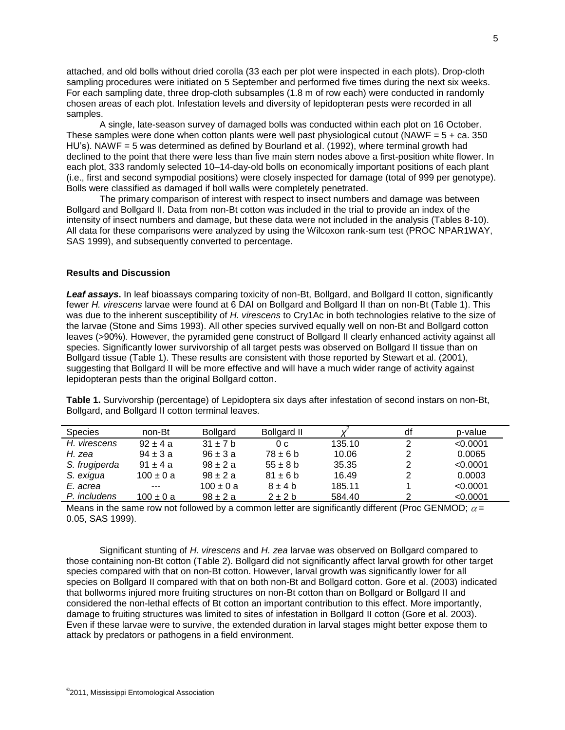attached, and old bolls without dried corolla (33 each per plot were inspected in each plots). Drop-cloth sampling procedures were initiated on 5 September and performed five times during the next six weeks. For each sampling date, three drop-cloth subsamples (1.8 m of row each) were conducted in randomly chosen areas of each plot. Infestation levels and diversity of lepidopteran pests were recorded in all samples.

A single, late-season survey of damaged bolls was conducted within each plot on 16 October. These samples were done when cotton plants were well past physiological cutout (NAWF =  $5 + ca$ . 350 HU's). NAWF = 5 was determined as defined by Bourland et al. (1992), where terminal growth had declined to the point that there were less than five main stem nodes above a first-position white flower. In each plot, 333 randomly selected 10–14-day-old bolls on economically important positions of each plant (i.e., first and second sympodial positions) were closely inspected for damage (total of 999 per genotype). Bolls were classified as damaged if boll walls were completely penetrated.

The primary comparison of interest with respect to insect numbers and damage was between Bollgard and Bollgard II. Data from non-Bt cotton was included in the trial to provide an index of the intensity of insect numbers and damage, but these data were not included in the analysis (Tables 8-10). All data for these comparisons were analyzed by using the Wilcoxon rank-sum test (PROC NPAR1WAY, SAS 1999), and subsequently converted to percentage.

## **Results and Discussion**

*Leaf assays***.** In leaf bioassays comparing toxicity of non-Bt, Bollgard, and Bollgard II cotton, significantly fewer *H. virescens* larvae were found at 6 DAI on Bollgard and Bollgard II than on non-Bt (Table 1). This was due to the inherent susceptibility of *H. virescens* to Cry1Ac in both technologies relative to the size of the larvae (Stone and Sims 1993). All other species survived equally well on non-Bt and Bollgard cotton leaves (>90%). However, the pyramided gene construct of Bollgard II clearly enhanced activity against all species. Significantly lower survivorship of all target pests was observed on Bollgard II tissue than on Bollgard tissue (Table 1). These results are consistent with those reported by Stewart et al. (2001), suggesting that Bollgard II will be more effective and will have a much wider range of activity against lepidopteran pests than the original Bollgard cotton.

| <b>Species</b> | non-Bt        | <b>Bollgard</b> | <b>Bollgard II</b> |        | df | p-value  |
|----------------|---------------|-----------------|--------------------|--------|----|----------|
| H. virescens   | $92 \pm 4a$   | $31 \pm 7$ b    | 0 <sub>c</sub>     | 135.10 | 2  | < 0.0001 |
| H. zea         | $94 \pm 3 a$  | $96 \pm 3a$     | $78 \pm 6$ b       | 10.06  |    | 0.0065   |
| S. frugiperda  | $91 \pm 4a$   | $98 \pm 2 a$    | $55 \pm 8$ b       | 35.35  | 2  | < 0.0001 |
| S. exigua      | $100 \pm 0 a$ | $98 \pm 2 a$    | $81 \pm 6$ b       | 16.49  | 2  | 0.0003   |
| E. acrea       | $- - -$       | $100 \pm 0 a$   | $8 + 4h$           | 185.11 |    | < 0.0001 |
| P. includens   | 100 ± 0 a     | $98 \pm 2 a$    | $2 \pm 2 b$        | 584.40 | っ  | < 0.0001 |

**Table 1.** Survivorship (percentage) of Lepidoptera six days after infestation of second instars on non-Bt, Bollgard, and Bollgard II cotton terminal leaves.

Means in the same row not followed by a common letter are significantly different (Proc GENMOD;  $\alpha$  = 0.05, SAS 1999).

Significant stunting of *H. virescens* and *H. zea* larvae was observed on Bollgard compared to those containing non-Bt cotton (Table 2). Bollgard did not significantly affect larval growth for other target species compared with that on non-Bt cotton. However, larval growth was significantly lower for all species on Bollgard II compared with that on both non-Bt and Bollgard cotton. Gore et al. (2003) indicated that bollworms injured more fruiting structures on non-Bt cotton than on Bollgard or Bollgard II and considered the non-lethal effects of Bt cotton an important contribution to this effect. More importantly, damage to fruiting structures was limited to sites of infestation in Bollgard II cotton (Gore et al. 2003). Even if these larvae were to survive, the extended duration in larval stages might better expose them to attack by predators or pathogens in a field environment.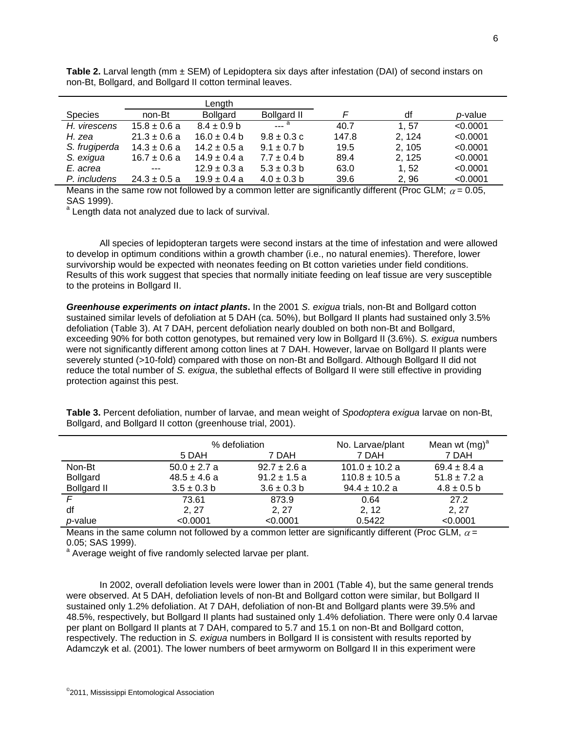**Table 2.** Larval length (mm ± SEM) of Lepidoptera six days after infestation (DAI) of second instars on non-Bt, Bollgard, and Bollgard II cotton terminal leaves.

|                |                  | Length           |                                                   |       |        |          |
|----------------|------------------|------------------|---------------------------------------------------|-------|--------|----------|
| <b>Species</b> | non-Bt           | <b>Bollgard</b>  | <b>Bollgard II</b>                                |       | df     | p-value  |
| H. virescens   | $15.8 \pm 0.6$ a | $8.4 \pm 0.9$ b  | $\overline{\phantom{a}}$ $\overline{\phantom{a}}$ | 40.7  | 1.57   | < 0.0001 |
| H. zea         | $21.3 \pm 0.6$ a | $16.0 \pm 0.4 b$ | $9.8 \pm 0.3$ c                                   | 147.8 | 2.124  | < 0.0001 |
| S. frugiperda  | $14.3 \pm 0.6$ a | $14.2 \pm 0.5$ a | $9.1 \pm 0.7$ b                                   | 19.5  | 2.105  | < 0.0001 |
| S. exigua      | $16.7 \pm 0.6$ a | $14.9 \pm 0.4 a$ | $7.7 \pm 0.4$ b                                   | 89.4  | 2, 125 | < 0.0001 |
| E. acrea       | $---$            | $12.9 \pm 0.3 a$ | $5.3 \pm 0.3$ b                                   | 63.0  | 1.52   | < 0.0001 |
| P. includens   | $24.3 \pm 0.5$ a | $19.9 \pm 0.4 a$ | $4.0 \pm 0.3$ b                                   | 39.6  | 2.96   | < 0.0001 |

Means in the same row not followed by a common letter are significantly different (Proc GLM;  $\alpha$  = 0.05, SAS 1999).

a Length data not analyzed due to lack of survival.

All species of lepidopteran targets were second instars at the time of infestation and were allowed to develop in optimum conditions within a growth chamber (i.e., no natural enemies). Therefore, lower survivorship would be expected with neonates feeding on Bt cotton varieties under field conditions. Results of this work suggest that species that normally initiate feeding on leaf tissue are very susceptible to the proteins in Bollgard II.

*Greenhouse experiments on intact plants***.** In the 2001 *S. exigua* trials, non-Bt and Bollgard cotton sustained similar levels of defoliation at 5 DAH (ca. 50%), but Bollgard II plants had sustained only 3.5% defoliation (Table 3). At 7 DAH, percent defoliation nearly doubled on both non-Bt and Bollgard, exceeding 90% for both cotton genotypes, but remained very low in Bollgard II (3.6%). *S. exigua* numbers were not significantly different among cotton lines at 7 DAH. However, larvae on Bollgard II plants were severely stunted (>10-fold) compared with those on non-Bt and Bollgard. Although Bollgard II did not reduce the total number of *S. exigua*, the sublethal effects of Bollgard II were still effective in providing protection against this pest.

% defoliation  $\blacksquare$  No. Larvae/plant Mean wt  $(mg)^a$ 5 DAH 7 DAH 7 DAH 7 DAH Non-Bt 50.0 ± 2.7 a 92.7 ± 2.6 a 101.0 ± 10.2 a 69.4 ± 8.4 a

Bollgard 48.5 ± 4.6 a 91.2 ± 1.5 a 110.8 ± 10.5 a 51.8 ± 7.2 a Bollgard II 3.5  $\pm$  0.3 b 3.6  $\pm$  0.3 b 94.4  $\pm$  10.2 a 4.8  $\pm$  0.5 b *F* 73.61 873.9 0.64 27.2 df 2, 27 2, 27 2, 12 2, 27 2, 27 2, 27 2, 27 2, 27 2, 27 2, 27 2, 27 2, 27 2, 27 2, 27 2, 27 2, 27 2, 27 2, 27 2, 27 2, 27 2, 27 2, 27 2, 27 2, 27 2, 27 2, 27 2, 27 2, 27 2, 27 2, 27 2, 27 2, 27 2, 27 2, 27 2, 27 2, 27 2,

**Table 3.** Percent defoliation, number of larvae, and mean weight of *Spodoptera exigua* larvae on non-Bt, Bollgard, and Bollgard II cotton (greenhouse trial, 2001).

| <i>p</i> -value     | < 0.0001                                                                                                   | < 0.0001 | 0.5422 | < 0.0001 |
|---------------------|------------------------------------------------------------------------------------------------------------|----------|--------|----------|
|                     | Means in the same column not followed by a common letter are significantly different (Proc GLM, $\alpha$ = |          |        |          |
| $0.05$ : SAS 1999). |                                                                                                            |          |        |          |

0.05; SAS 1999).<br><sup>a</sup> Average weight of five randomly selected larvae per plant.

In 2002, overall defoliation levels were lower than in 2001 (Table 4), but the same general trends were observed. At 5 DAH, defoliation levels of non-Bt and Bollgard cotton were similar, but Bollgard II sustained only 1.2% defoliation. At 7 DAH, defoliation of non-Bt and Bollgard plants were 39.5% and 48.5%, respectively, but Bollgard II plants had sustained only 1.4% defoliation. There were only 0.4 larvae per plant on Bollgard II plants at 7 DAH, compared to 5.7 and 15.1 on non-Bt and Bollgard cotton, respectively. The reduction in *S. exigua* numbers in Bollgard II is consistent with results reported by Adamczyk et al. (2001). The lower numbers of beet armyworm on Bollgard II in this experiment were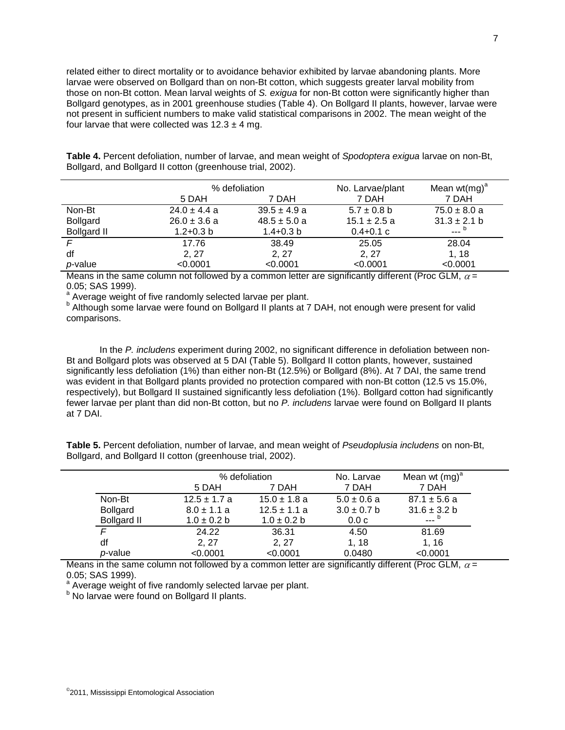related either to direct mortality or to avoidance behavior exhibited by larvae abandoning plants. More larvae were observed on Bollgard than on non-Bt cotton, which suggests greater larval mobility from those on non-Bt cotton. Mean larval weights of *S. exigua* for non-Bt cotton were significantly higher than Bollgard genotypes, as in 2001 greenhouse studies (Table 4). On Bollgard II plants, however, larvae were not present in sufficient numbers to make valid statistical comparisons in 2002. The mean weight of the four larvae that were collected was  $12.3 \pm 4$  mg.

**Table 4.** Percent defoliation, number of larvae, and mean weight of *Spodoptera exigua* larvae on non-Bt, Bollgard, and Bollgard II cotton (greenhouse trial, 2002).

|                    | % defoliation    |                  | No. Larvae/plant | Mean wt(mg) <sup>a</sup> |
|--------------------|------------------|------------------|------------------|--------------------------|
|                    | 5 DAH            | 7 DAH            | 7 DAH            | 7 DAH                    |
| Non-Bt             | $24.0 \pm 4.4 a$ | $39.5 \pm 4.9 a$ | $5.7 \pm 0.8$ b  | $75.0 \pm 8.0 a$         |
| <b>Bollgard</b>    | $26.0 \pm 3.6$ a | $48.5 \pm 5.0 a$ | $15.1 \pm 2.5$ a | $31.3 \pm 2.1 b$         |
| <b>Bollgard II</b> | $1.2 + 0.3$ b    | $1.4 + 0.3 b$    | $0.4 + 0.1$ c    |                          |
|                    | 17.76            | 38.49            | 25.05            | 28.04                    |
| df                 | 2, 27            | 2, 27            | 2, 27            | 1, 18                    |
| p-value            | < 0.0001         | < 0.0001         | < 0.0001         | < 0.0001                 |

Means in the same column not followed by a common letter are significantly different (Proc GLM,  $\alpha$  = 0.05; SAS 1999).

<sup>a</sup> Average weight of five randomly selected larvae per plant.

b Although some larvae were found on Bollgard II plants at 7 DAH, not enough were present for valid comparisons.

In the *P. includens* experiment during 2002, no significant difference in defoliation between non-Bt and Bollgard plots was observed at 5 DAI (Table 5). Bollgard II cotton plants, however, sustained significantly less defoliation (1%) than either non-Bt (12.5%) or Bollgard (8%). At 7 DAI, the same trend was evident in that Bollgard plants provided no protection compared with non-Bt cotton (12.5 vs 15.0%, respectively), but Bollgard II sustained significantly less defoliation (1%). Bollgard cotton had significantly fewer larvae per plant than did non-Bt cotton, but no *P. includens* larvae were found on Bollgard II plants at 7 DAI.

**Table 5.** Percent defoliation, number of larvae, and mean weight of *Pseudoplusia includens* on non-Bt, Bollgard, and Bollgard II cotton (greenhouse trial, 2002).

|                    |                  | % defoliation    |                 | Mean wt $(mg)^a$ |
|--------------------|------------------|------------------|-----------------|------------------|
|                    | 5 DAH            | 7 DAH            | 7 DAH           | 7 DAH            |
| Non-Bt             | $12.5 \pm 1.7$ a | $15.0 \pm 1.8$ a | $5.0 \pm 0.6$ a | $87.1 \pm 5.6$ a |
| <b>Bollgard</b>    | $8.0 \pm 1.1 a$  | $12.5 \pm 1.1 a$ | $3.0 \pm 0.7$ b | $31.6 \pm 3.2 b$ |
| <b>Bollgard II</b> | $1.0 \pm 0.2 b$  | $1.0 \pm 0.2 b$  | 0.0c            |                  |
| F                  | 24.22            | 36.31            | 4.50            | 81.69            |
| df                 | 2, 27            | 2, 27            | 1, 18           | 1, 16            |
| p-value            | < 0.0001         | < 0.0001         | 0.0480          | < 0.0001         |
|                    |                  |                  |                 |                  |

Means in the same column not followed by a common letter are significantly different (Proc GLM,  $\alpha$  = 0.05; SAS 1999).

<sup>a</sup> Average weight of five randomly selected larvae per plant.

**b** No larvae were found on Bollgard II plants.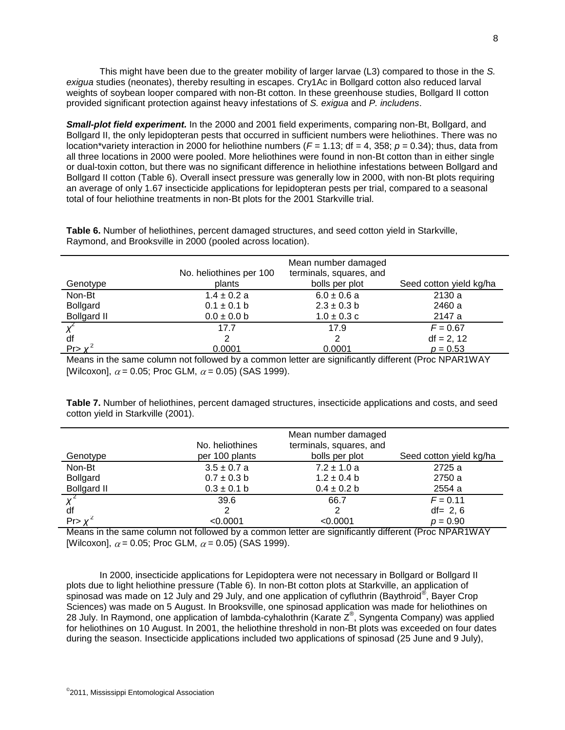This might have been due to the greater mobility of larger larvae (L3) compared to those in the *S. exigua* studies (neonates), thereby resulting in escapes. Cry1Ac in Bollgard cotton also reduced larval weights of soybean looper compared with non-Bt cotton. In these greenhouse studies, Bollgard II cotton provided significant protection against heavy infestations of *S. exigua* and *P. includens*.

**Small-plot field experiment.** In the 2000 and 2001 field experiments, comparing non-Bt, Bollgard, and Bollgard II, the only lepidopteran pests that occurred in sufficient numbers were heliothines. There was no location\*variety interaction in 2000 for heliothine numbers ( $F = 1.13$ ; df = 4, 358;  $p = 0.34$ ); thus, data from all three locations in 2000 were pooled. More heliothines were found in non-Bt cotton than in either single or dual-toxin cotton, but there was no significant difference in heliothine infestations between Bollgard and Bollgard II cotton (Table 6). Overall insect pressure was generally low in 2000, with non-Bt plots requiring an average of only 1.67 insecticide applications for lepidopteran pests per trial, compared to a seasonal total of four heliothine treatments in non-Bt plots for the 2001 Starkville trial.

|                    | No. heliothines per 100 | Mean number damaged<br>terminals, squares, and                                                      |                         |  |  |  |  |  |
|--------------------|-------------------------|-----------------------------------------------------------------------------------------------------|-------------------------|--|--|--|--|--|
| Genotype           | plants                  | bolls per plot                                                                                      | Seed cotton yield kg/ha |  |  |  |  |  |
| Non-Bt             | $1.4 \pm 0.2 a$         | $6.0 \pm 0.6 a$                                                                                     | 2130 a                  |  |  |  |  |  |
| <b>Bollgard</b>    | $0.1 \pm 0.1$ b         | $2.3 \pm 0.3 b$                                                                                     | 2460 a                  |  |  |  |  |  |
| <b>Bollgard II</b> | $0.0 \pm 0.0$ b         | $1.0 \pm 0.3$ c                                                                                     | 2147 a                  |  |  |  |  |  |
|                    | 17.7                    | 17.9                                                                                                | $F = 0.67$              |  |  |  |  |  |
| df                 |                         |                                                                                                     | $df = 2, 12$            |  |  |  |  |  |
| Pr > Y             | 0.0001                  | 0.0001                                                                                              | $p = 0.53$              |  |  |  |  |  |
|                    |                         | Moone in the same column not followed by a semmen letter are significantly different (Dree NDAD4WAV |                         |  |  |  |  |  |

**Table 6.** Number of heliothines, percent damaged structures, and seed cotton yield in Starkville, Raymond, and Brooksville in 2000 (pooled across location).

Means in the same column not followed by a common letter are significantly different (Proc NPAR1WAY [Wilcoxon],  $\alpha$  = 0.05; Proc GLM,  $\alpha$  = 0.05) (SAS 1999).

**Table 7.** Number of heliothines, percent damaged structures, insecticide applications and costs, and seed cotton yield in Starkville (2001).

|                    | No. heliothines | Mean number damaged<br>terminals, squares, and |                         |  |
|--------------------|-----------------|------------------------------------------------|-------------------------|--|
| Genotype           | per 100 plants  | bolls per plot                                 | Seed cotton yield kg/ha |  |
| Non-Bt             | $3.5 \pm 0.7$ a | $7.2 \pm 1.0$ a                                | 2725 a                  |  |
| <b>Bollgard</b>    | $0.7 \pm 0.3$ b | $1.2 \pm 0.4$ b                                | 2750 a                  |  |
| <b>Bollgard II</b> | $0.3 \pm 0.1$ b | $0.4 \pm 0.2 b$                                | 2554 a                  |  |
|                    | 39.6            | 66.7                                           | $F = 0.11$              |  |
| df                 |                 | 2                                              | $df = 2, 6$             |  |
| Pr > X'            | < 0.0001        | < 0.0001                                       | $p = 0.90$              |  |

Means in the same column not followed by a common letter are significantly different (Proc NPAR1WAY [Wilcoxon],  $\alpha$  = 0.05; Proc GLM,  $\alpha$  = 0.05) (SAS 1999).

In 2000, insecticide applications for Lepidoptera were not necessary in Bollgard or Bollgard II plots due to light heliothine pressure (Table 6). In non-Bt cotton plots at Starkville, an application of .<br>spinosad was made on 12 July and 29 July, and one application of cyfluthrin (Baythroid®, Bayer Crop Sciences) was made on 5 August. In Brooksville, one spinosad application was made for heliothines on 28 July. In Raymond, one application of lambda-cyhalothrin (Karate  $Z^{\circledast}$ , Syngenta Company) was applied for heliothines on 10 August. In 2001, the heliothine threshold in non-Bt plots was exceeded on four dates during the season. Insecticide applications included two applications of spinosad (25 June and 9 July),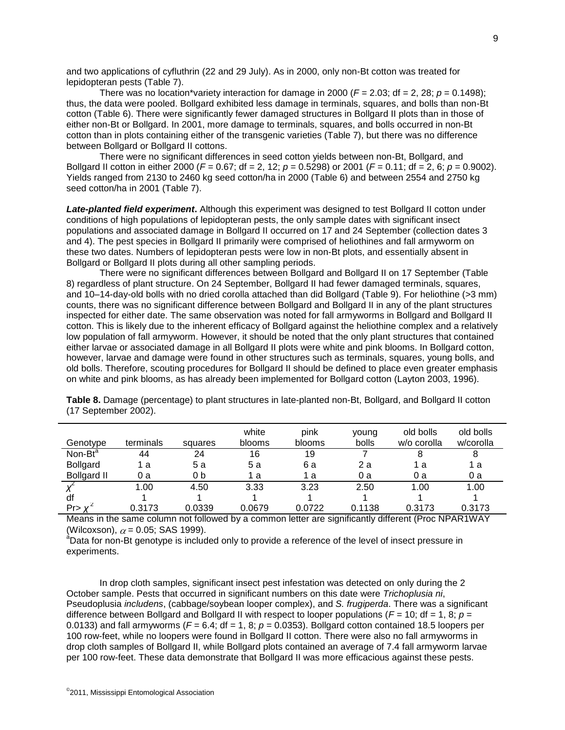and two applications of cyfluthrin (22 and 29 July). As in 2000, only non-Bt cotton was treated for lepidopteran pests (Table 7).

There was no location\*variety interaction for damage in 2000 ( $F = 2.03$ ; df = 2, 28;  $p = 0.1498$ ); thus, the data were pooled. Bollgard exhibited less damage in terminals, squares, and bolls than non-Bt cotton (Table 6). There were significantly fewer damaged structures in Bollgard II plots than in those of either non-Bt or Bollgard. In 2001, more damage to terminals, squares, and bolls occurred in non-Bt cotton than in plots containing either of the transgenic varieties (Table 7), but there was no difference between Bollgard or Bollgard II cottons.

There were no significant differences in seed cotton yields between non-Bt, Bollgard, and Bollgard II cotton in either 2000 (*F* = 0.67; df = 2, 12; *p* = 0.5298) or 2001 (*F* = 0.11; df = 2, 6; *p* = 0.9002). Yields ranged from 2130 to 2460 kg seed cotton/ha in 2000 (Table 6) and between 2554 and 2750 kg seed cotton/ha in 2001 (Table 7).

*Late-planted field experiment***.** Although this experiment was designed to test Bollgard II cotton under conditions of high populations of lepidopteran pests, the only sample dates with significant insect populations and associated damage in Bollgard II occurred on 17 and 24 September (collection dates 3 and 4). The pest species in Bollgard II primarily were comprised of heliothines and fall armyworm on these two dates. Numbers of lepidopteran pests were low in non-Bt plots, and essentially absent in Bollgard or Bollgard II plots during all other sampling periods.

There were no significant differences between Bollgard and Bollgard II on 17 September (Table 8) regardless of plant structure. On 24 September, Bollgard II had fewer damaged terminals, squares, and 10–14-day-old bolls with no dried corolla attached than did Bollgard (Table 9). For heliothine (>3 mm) counts, there was no significant difference between Bollgard and Bollgard II in any of the plant structures inspected for either date. The same observation was noted for fall armyworms in Bollgard and Bollgard II cotton. This is likely due to the inherent efficacy of Bollgard against the heliothine complex and a relatively low population of fall armyworm. However, it should be noted that the only plant structures that contained either larvae or associated damage in all Bollgard II plots were white and pink blooms. In Bollgard cotton, however, larvae and damage were found in other structures such as terminals, squares, young bolls, and old bolls. Therefore, scouting procedures for Bollgard II should be defined to place even greater emphasis on white and pink blooms, as has already been implemented for Bollgard cotton (Layton 2003, 1996).

| Genotype            | terminals | squares | white<br>blooms | pink<br>blooms | young<br>bolls | old bolls<br>w/o corolla | old bolls<br>w/corolla |
|---------------------|-----------|---------|-----------------|----------------|----------------|--------------------------|------------------------|
| Non-Bt <sup>a</sup> | 44        | 24      | 16              | 19             |                |                          | 8                      |
| <b>Bollgard</b>     | 1 a       | 5а      | 5а              | 6а             | 2 a            | 1 а                      | 1 а                    |
| <b>Bollgard II</b>  | 0 a       | 0 b     | 1 a             | 1 a            | 0а             | 0а                       | 0 a                    |
|                     | 1.00      | 4.50    | 3.33            | 3.23           | 2.50           | 1.00                     | 1.00                   |
| df                  |           |         |                 |                |                |                          |                        |
| Pr > y              | 0.3173    | 0.0339  | 0.0679          | 0.0722         | 0.1138         | 0.3173                   | 0.3173                 |

**Table 8.** Damage (percentage) to plant structures in late-planted non-Bt, Bollgard, and Bollgard II cotton (17 September 2002).

Means in the same column not followed by a common letter are significantly different (Proc NPAR1WAY (Wilcoxson),  $\alpha$  = 0.05; SAS 1999).

<sup>a</sup>Data for non-Bt genotype is included only to provide a reference of the level of insect pressure in experiments.

In drop cloth samples, significant insect pest infestation was detected on only during the 2 October sample. Pests that occurred in significant numbers on this date were *Trichoplusia ni*, Pseudoplusia *includens*, (cabbage/soybean looper complex), and *S. frugiperda*. There was a significant difference between Bollgard and Bollgard II with respect to looper populations ( $F = 10$ ; df = 1, 8;  $p =$ 0.0133) and fall armyworms ( $F = 6.4$ ; df = 1, 8;  $p = 0.0353$ ). Bollgard cotton contained 18.5 loopers per 100 row-feet, while no loopers were found in Bollgard II cotton. There were also no fall armyworms in drop cloth samples of Bollgard II, while Bollgard plots contained an average of 7.4 fall armyworm larvae per 100 row-feet. These data demonstrate that Bollgard II was more efficacious against these pests.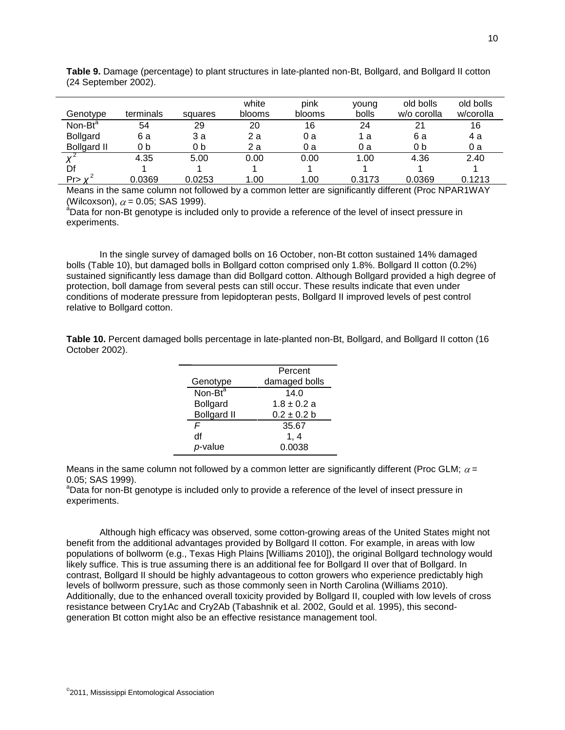| Genotype            | terminals | squares | white<br>blooms | pink<br>blooms | young<br>bolls | old bolls<br>w/o corolla | old bolls<br>w/corolla |
|---------------------|-----------|---------|-----------------|----------------|----------------|--------------------------|------------------------|
| Non-Bt <sup>a</sup> | 54        | 29      | 20              | 16             | 24             | 21                       | 16                     |
| <b>Bollgard</b>     | 6а        | 3 a     | 2а              | 0 a            | 1 а            | 6а                       | 4 a                    |
| <b>Bollgard II</b>  | 0 b       | 0 b     | 2а              | 0 a            | 0 a            | 0 b                      | 0 a                    |
|                     | 4.35      | 5.00    | 0.00            | 0.00           | 1.00           | 4.36                     | 2.40                   |
| Df                  |           |         |                 |                |                |                          |                        |
| $Pr > Y^2$          | 0.0369    | 0.0253  | .00             | 1.00           | 0.3173         | 0.0369                   | 0.1213                 |

**Table 9.** Damage (percentage) to plant structures in late-planted non-Bt, Bollgard, and Bollgard II cotton (24 September 2002).

Means in the same column not followed by a common letter are significantly different (Proc NPAR1WAY (Wilcoxson),  $\alpha$  = 0.05; SAS 1999).

<sup>a</sup>Data for non-Bt genotype is included only to provide a reference of the level of insect pressure in experiments.

In the single survey of damaged bolls on 16 October, non-Bt cotton sustained 14% damaged bolls (Table 10), but damaged bolls in Bollgard cotton comprised only 1.8%. Bollgard II cotton (0.2%) sustained significantly less damage than did Bollgard cotton. Although Bollgard provided a high degree of protection, boll damage from several pests can still occur. These results indicate that even under conditions of moderate pressure from lepidopteran pests, Bollgard II improved levels of pest control relative to Bollgard cotton.

**Table 10.** Percent damaged bolls percentage in late-planted non-Bt, Bollgard, and Bollgard II cotton (16 October 2002).

|                                     | Percent         |
|-------------------------------------|-----------------|
| Genotype                            | damaged bolls   |
| Non-B $\overline{t}^{\overline{a}}$ | 14.0            |
| <b>Bollgard</b>                     | $1.8 \pm 0.2$ a |
| <b>Bollgard II</b>                  | $0.2 \pm 0.2 b$ |
| F                                   | 35.67           |
| df                                  | 1. 4            |
| p-value                             | 0.0038          |
|                                     |                 |

Means in the same column not followed by a common letter are significantly different (Proc GLM;  $\alpha$  = 0.05; SAS 1999).

<sup>a</sup>Data for non-Bt genotype is included only to provide a reference of the level of insect pressure in experiments.

Although high efficacy was observed, some cotton-growing areas of the United States might not benefit from the additional advantages provided by Bollgard II cotton. For example, in areas with low populations of bollworm (e.g., Texas High Plains [Williams 2010]), the original Bollgard technology would likely suffice. This is true assuming there is an additional fee for Bollgard II over that of Bollgard. In contrast, Bollgard II should be highly advantageous to cotton growers who experience predictably high levels of bollworm pressure, such as those commonly seen in North Carolina (Williams 2010). Additionally, due to the enhanced overall toxicity provided by Bollgard II, coupled with low levels of cross resistance between Cry1Ac and Cry2Ab (Tabashnik et al. 2002, Gould et al. 1995), this secondgeneration Bt cotton might also be an effective resistance management tool.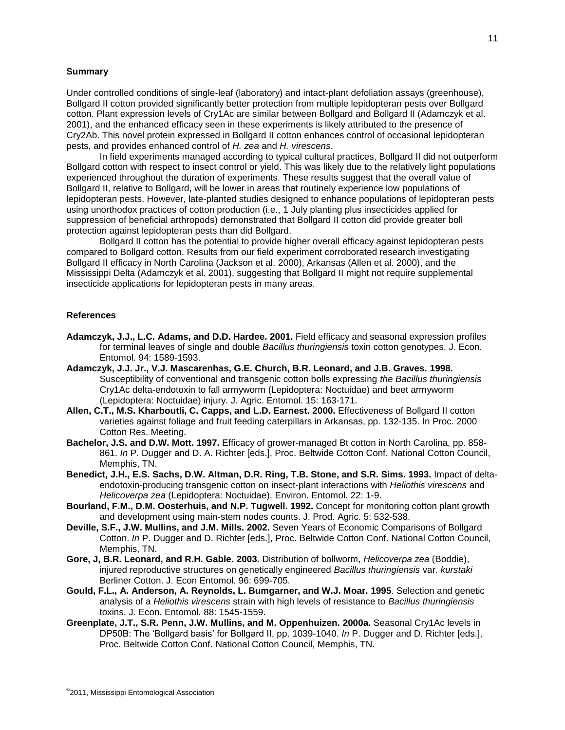#### **Summary**

Under controlled conditions of single-leaf (laboratory) and intact-plant defoliation assays (greenhouse), Bollgard II cotton provided significantly better protection from multiple lepidopteran pests over Bollgard cotton. Plant expression levels of Cry1Ac are similar between Bollgard and Bollgard II (Adamczyk et al. 2001), and the enhanced efficacy seen in these experiments is likely attributed to the presence of Cry2Ab. This novel protein expressed in Bollgard II cotton enhances control of occasional lepidopteran pests, and provides enhanced control of *H. zea* and *H. virescens*.

In field experiments managed according to typical cultural practices, Bollgard II did not outperform Bollgard cotton with respect to insect control or yield. This was likely due to the relatively light populations experienced throughout the duration of experiments. These results suggest that the overall value of Bollgard II, relative to Bollgard, will be lower in areas that routinely experience low populations of lepidopteran pests. However, late-planted studies designed to enhance populations of lepidopteran pests using unorthodox practices of cotton production (i.e., 1 July planting plus insecticides applied for suppression of beneficial arthropods) demonstrated that Bollgard II cotton did provide greater boll protection against lepidopteran pests than did Bollgard.

Bollgard II cotton has the potential to provide higher overall efficacy against lepidopteran pests compared to Bollgard cotton. Results from our field experiment corroborated research investigating Bollgard II efficacy in North Carolina (Jackson et al. 2000), Arkansas (Allen et al. 2000), and the Mississippi Delta (Adamczyk et al. 2001), suggesting that Bollgard II might not require supplemental insecticide applications for lepidopteran pests in many areas.

#### **References**

- **Adamczyk, J.J., L.C. Adams, and D.D. Hardee. 2001.** Field efficacy and seasonal expression profiles for terminal leaves of single and double *Bacillus thuringiensis* toxin cotton genotypes. J. Econ. Entomol. 94: 1589-1593.
- **Adamczyk, J.J. Jr., V.J. Mascarenhas, G.E. Church, B.R. Leonard, and J.B. Graves. 1998.** Susceptibility of conventional and transgenic cotton bolls expressing *the Bacillus thuringiensis* Cry1Ac delta-endotoxin to fall armyworm (Lepidoptera: Noctuidae) and beet armyworm (Lepidoptera: Noctuidae) injury. J. Agric. Entomol. 15: 163-171.
- **Allen, C.T., M.S. Kharboutli, C. Capps, and L.D. Earnest. 2000.** Effectiveness of Bollgard II cotton varieties against foliage and fruit feeding caterpillars in Arkansas, pp. 132-135. In Proc. 2000 Cotton Res. Meeting.
- **Bachelor, J.S. and D.W. Mott. 1997.** Efficacy of grower-managed Bt cotton in North Carolina, pp. 858- 861. *In* P. Dugger and D. A. Richter [eds.], Proc. Beltwide Cotton Conf. National Cotton Council, Memphis, TN.
- **Benedict, J.H., E.S. Sachs, D.W. Altman, D.R. Ring, T.B. Stone, and S.R. Sims. 1993.** Impact of deltaendotoxin-producing transgenic cotton on insect-plant interactions with *Heliothis virescens* and *Helicoverpa zea* (Lepidoptera: Noctuidae). Environ. Entomol. 22: 1-9.
- **Bourland, F.M., D.M. Oosterhuis, and N.P. Tugwell. 1992.** Concept for monitoring cotton plant growth and development using main-stem nodes counts. J. Prod. Agric. 5: 532-538.
- **Deville, S.F., J.W. Mullins, and J.M. Mills. 2002.** Seven Years of Economic Comparisons of Bollgard Cotton. *In* P. Dugger and D. Richter [eds.], Proc. Beltwide Cotton Conf. National Cotton Council, Memphis, TN.
- **Gore, J, B.R. Leonard, and R.H. Gable. 2003.** Distribution of bollworm, *Helicoverpa zea* (Boddie), injured reproductive structures on genetically engineered *Bacillus thuringiensis* var*. kurstaki* Berliner Cotton. J. Econ Entomol. 96: 699-705.
- **Gould, F.L., A. Anderson, A. Reynolds, L. Bumgarner, and W.J. Moar. 1995**. Selection and genetic analysis of a *Heliothis virescens* strain with high levels of resistance to *Bacillus thuringiensis* toxins. J. Econ. Entomol. 88: 1545-1559.
- **Greenplate, J.T., S.R. Penn, J.W. Mullins, and M. Oppenhuizen. 2000a.** Seasonal Cry1Ac levels in DP50B: The 'Bollgard basis' for Bollgard II, pp. 1039-1040. In P. Dugger and D. Richter [eds.], Proc. Beltwide Cotton Conf. National Cotton Council, Memphis, TN.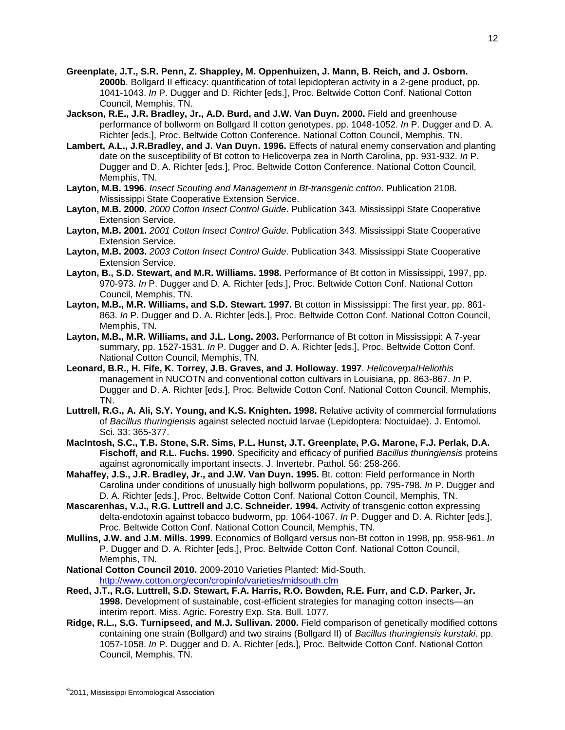- **Greenplate, J.T., S.R. Penn, Z. Shappley, M. Oppenhuizen, J. Mann, B. Reich, and J. Osborn. 2000b**. Bollgard II efficacy: quantification of total lepidopteran activity in a 2-gene product, pp. 1041-1043. *In* P. Dugger and D. Richter [eds.], Proc. Beltwide Cotton Conf. National Cotton Council, Memphis, TN.
- **Jackson, R.E., J.R. Bradley, Jr., A.D. Burd, and J.W. Van Duyn. 2000.** Field and greenhouse performance of bollworm on Bollgard II cotton genotypes, pp. 1048-1052. *In* P. Dugger and D. A. Richter [eds.], Proc. Beltwide Cotton Conference. National Cotton Council, Memphis, TN.
- **Lambert, A.L., J.R.Bradley, and J. Van Duyn. 1996.** Effects of natural enemy conservation and planting date on the susceptibility of Bt cotton to Helicoverpa zea in North Carolina, pp. 931-932. *In* P. Dugger and D. A. Richter [eds.], Proc. Beltwide Cotton Conference. National Cotton Council, Memphis, TN.
- **Layton, M.B. 1996.** *Insect Scouting and Management in Bt-transgenic cotton*. Publication 2108. Mississippi State Cooperative Extension Service.
- **Layton, M.B. 2000.** *2000 Cotton Insect Control Guide*. Publication 343. Mississippi State Cooperative Extension Service.
- **Layton, M.B. 2001.** *2001 Cotton Insect Control Guide*. Publication 343. Mississippi State Cooperative Extension Service.
- **Layton, M.B. 2003.** *2003 Cotton Insect Control Guide*. Publication 343. Mississippi State Cooperative Extension Service.
- **Layton, B., S.D. Stewart, and M.R. Williams. 1998.** Performance of Bt cotton in Mississippi, 1997, pp. 970-973. *In* P. Dugger and D. A. Richter [eds.], Proc. Beltwide Cotton Conf. National Cotton Council, Memphis, TN.
- **Layton, M.B., M.R. Williams, and S.D. Stewart. 1997.** Bt cotton in Mississippi: The first year, pp. 861- 863. *In* P. Dugger and D. A. Richter [eds.], Proc. Beltwide Cotton Conf. National Cotton Council, Memphis, TN.
- **Layton, M.B., M.R. Williams, and J.L. Long. 2003.** Performance of Bt cotton in Mississippi: A 7-year summary, pp. 1527-1531. *In* P. Dugger and D. A. Richter [eds.], Proc. Beltwide Cotton Conf. National Cotton Council, Memphis, TN.
- **Leonard, B.R., H. Fife, K. Torrey, J.B. Graves, and J. Holloway. 1997**. *Helicoverpa*/*Heliothis* management in NUCOTN and conventional cotton cultivars in Louisiana, pp. 863-867. *In* P. Dugger and D. A. Richter [eds.], Proc. Beltwide Cotton Conf. National Cotton Council, Memphis, TN.
- **Luttrell, R.G., A. Ali, S.Y. Young, and K.S. Knighten. 1998.** Relative activity of commercial formulations of *Bacillus thuringiensis* against selected noctuid larvae (Lepidoptera: Noctuidae). J. Entomol. Sci. 33: 365-377.
- **MacIntosh, S.C., T.B. Stone, S.R. Sims, P.L. Hunst, J.T. Greenplate, P.G. Marone, F.J. Perlak, D.A. Fischoff, and R.L. Fuchs. 1990.** Specificity and efficacy of purified *Bacillus thuringiensis* proteins against agronomically important insects. J. Invertebr. Pathol. 56: 258-266.
- **Mahaffey, J.S., J.R. Bradley, Jr., and J.W. Van Duyn. 1995.** Bt. cotton: Field performance in North Carolina under conditions of unusually high bollworm populations, pp. 795-798. *In* P. Dugger and D. A. Richter [eds.], Proc. Beltwide Cotton Conf. National Cotton Council, Memphis, TN.
- **Mascarenhas, V.J., R.G. Luttrell and J.C. Schneider. 1994.** Activity of transgenic cotton expressing delta-endotoxin against tobacco budworm, pp. 1064-1067. *In* P. Dugger and D. A. Richter [eds.], Proc. Beltwide Cotton Conf. National Cotton Council, Memphis, TN.
- **Mullins, J.W. and J.M. Mills. 1999.** Economics of Bollgard versus non-Bt cotton in 1998, pp. 958-961. *In* P. Dugger and D. A. Richter [eds.], Proc. Beltwide Cotton Conf. National Cotton Council, Memphis, TN.
- **National Cotton Council 2010.** 2009-2010 Varieties Planted: Mid-South. <http://www.cotton.org/econ/cropinfo/varieties/midsouth.cfm>
- **Reed, J.T., R.G. Luttrell, S.D. Stewart, F.A. Harris, R.O. Bowden, R.E. Furr, and C.D. Parker, Jr. 1998.** Development of sustainable, cost-efficient strategies for managing cotton insects—an interim report. Miss. Agric. Forestry Exp. Sta. Bull. 1077.
- **Ridge, R.L., S.G. Turnipseed, and M.J. Sullivan. 2000.** Field comparison of genetically modified cottons containing one strain (Bollgard) and two strains (Bollgard II) of *Bacillus thuringiensis kurstaki*. pp. 1057-1058. *In* P. Dugger and D. A. Richter [eds.], Proc. Beltwide Cotton Conf. National Cotton Council, Memphis, TN.